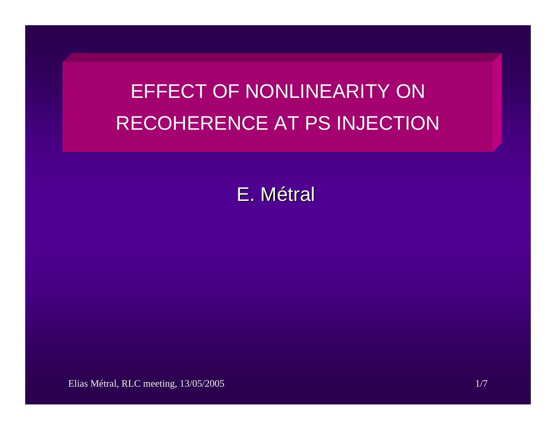# EFFECT OF NONLINEARITY ON RECOHERENCE AT PS INJECTION

# E. Métral

Elias Métral, RLC meeting, 13/05/2005 1/7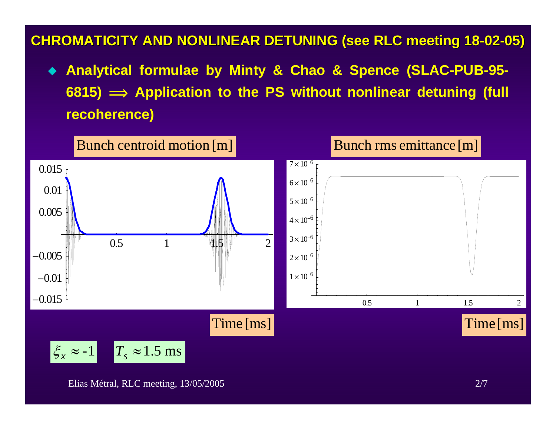## **CHROMATICITY AND NONLINEAR DE CHROMATICITY AND NONLINEAR DETUNING (see RLC meeting 18 TUNING (see RLC meeting 18 -02 -05)**

 **Analytical formulae by Minty & Chao & Spence (SLAC-PUB-95- 6815) î Application to the PS without nonlinear detuning (full recoherence)** 

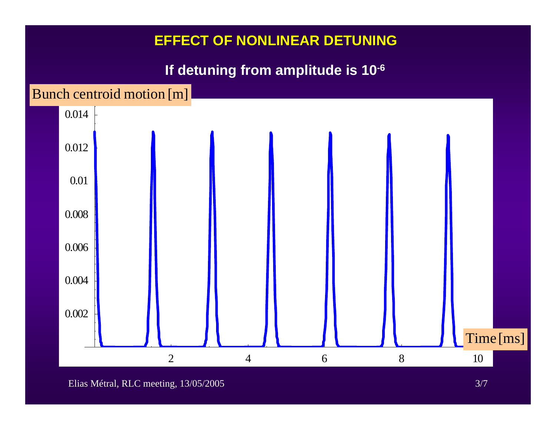#### **If detuning from amplitude is 10-6**

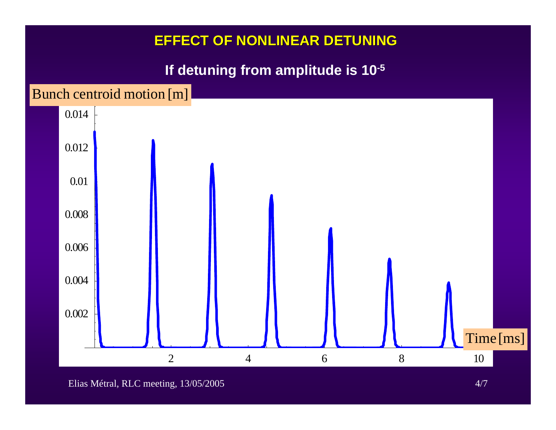#### **If detuning from amplitude is 10-5**

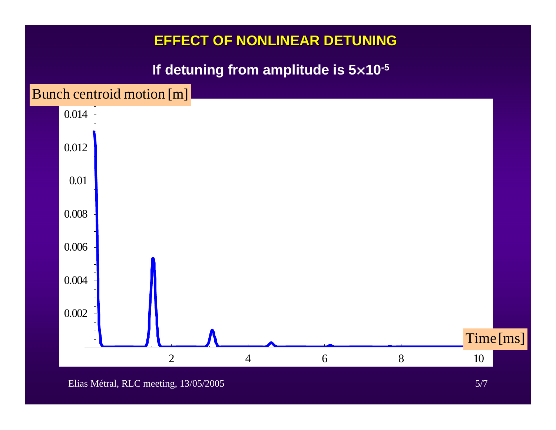# **If detuning from amplitude is 5 ¥10-5**

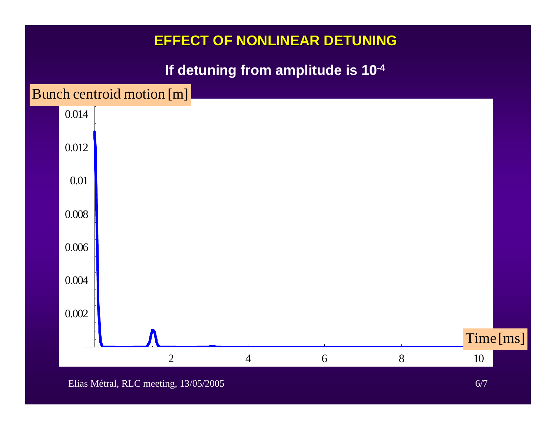# **If detuning from amplitude is 10-4**